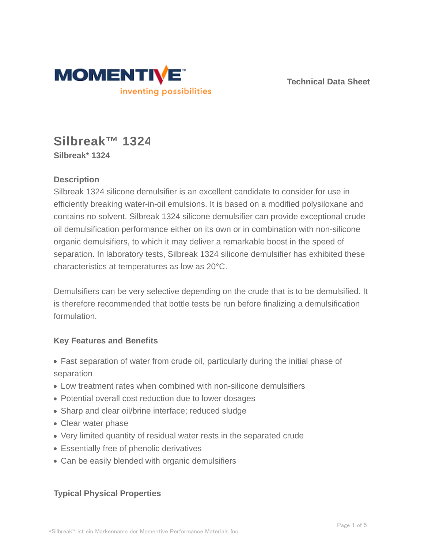

**Technical Data Sheet**

# **Silbreak™ 1324 Silbreak\* 1324**

## **Description**

Silbreak 1324 silicone demulsifier is an excellent candidate to consider for use in efficiently breaking water-in-oil emulsions. It is based on a modified polysiloxane and contains no solvent. Silbreak 1324 silicone demulsifier can provide exceptional crude oil demulsification performance either on its own or in combination with non-silicone organic demulsifiers, to which it may deliver a remarkable boost in the speed of separation. In laboratory tests, Silbreak 1324 silicone demulsifier has exhibited these characteristics at temperatures as low as 20°C.

Demulsifiers can be very selective depending on the crude that is to be demulsified. It is therefore recommended that bottle tests be run before finalizing a demulsification formulation.

## **Key Features and Benefits**

- Fast separation of water from crude oil, particularly during the initial phase of separation
- Low treatment rates when combined with non-silicone demulsifiers
- Potential overall cost reduction due to lower dosages
- Sharp and clear oil/brine interface; reduced sludge
- Clear water phase
- Very limited quantity of residual water rests in the separated crude
- Essentially free of phenolic derivatives
- Can be easily blended with organic demulsifiers

## **Typical Physical Properties**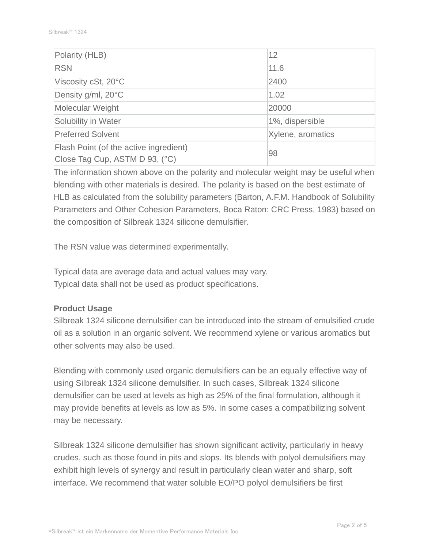| Polarity (HLB)                                                           | 12                |  |
|--------------------------------------------------------------------------|-------------------|--|
| <b>RSN</b>                                                               | 11.6              |  |
| Viscosity cSt, 20°C                                                      | 2400              |  |
| Density g/ml, 20°C                                                       | 1.02              |  |
| Molecular Weight                                                         | 20000             |  |
| Solubility in Water                                                      | 1%, dispersible   |  |
| <b>Preferred Solvent</b>                                                 | Xylene, aromatics |  |
| Flash Point (of the active ingredient)<br>Close Tag Cup, ASTM D 93, (°C) | 98                |  |

The information shown above on the polarity and molecular weight may be useful when blending with other materials is desired. The polarity is based on the best estimate of HLB as calculated from the solubility parameters (Barton, A.F.M. Handbook of Solubility Parameters and Other Cohesion Parameters, Boca Raton: CRC Press, 1983) based on the composition of Silbreak 1324 silicone demulsifier.

The RSN value was determined experimentally.

Typical data are average data and actual values may vary. Typical data shall not be used as product specifications.

#### **Product Usage**

Silbreak 1324 silicone demulsifier can be introduced into the stream of emulsified crude oil as a solution in an organic solvent. We recommend xylene or various aromatics but other solvents may also be used.

Blending with commonly used organic demulsifiers can be an equally effective way of using Silbreak 1324 silicone demulsifier. In such cases, Silbreak 1324 silicone demulsifier can be used at levels as high as 25% of the final formulation, although it may provide benefits at levels as low as 5%. In some cases a compatibilizing solvent may be necessary.

Silbreak 1324 silicone demulsifier has shown significant activity, particularly in heavy crudes, such as those found in pits and slops. Its blends with polyol demulsifiers may exhibit high levels of synergy and result in particularly clean water and sharp, soft interface. We recommend that water soluble EO/PO polyol demulsifiers be first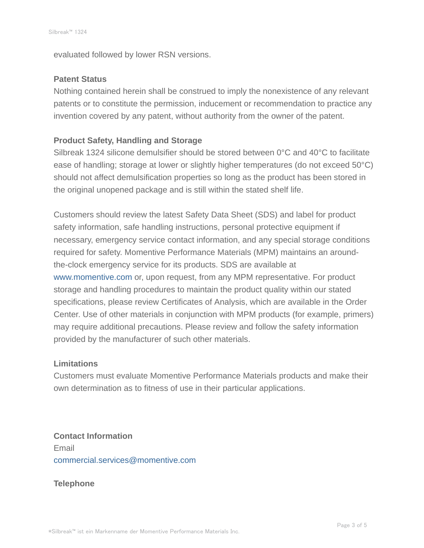evaluated followed by lower RSN versions.

#### **Patent Status**

Nothing contained herein shall be construed to imply the nonexistence of any relevant patents or to constitute the permission, inducement or recommendation to practice any invention covered by any patent, without authority from the owner of the patent.

### **Product Safety, Handling and Storage**

Silbreak 1324 silicone demulsifier should be stored between 0°C and 40°C to facilitate ease of handling; storage at lower or slightly higher temperatures (do not exceed 50°C) should not affect demulsification properties so long as the product has been stored in the original unopened package and is still within the stated shelf life.

Customers should review the latest Safety Data Sheet (SDS) and label for product safety information, safe handling instructions, personal protective equipment if necessary, emergency service contact information, and any special storage conditions required for safety. Momentive Performance Materials (MPM) maintains an aroundthe-clock emergency service for its products. SDS are available at www.momentive.com or, upon request, from any MPM representative. For product storage and handling procedures to maintain the product quality within our stated specifications, please review Certificates of Analysis, which are available in the Order Center. Use of other materials in conjunction with MPM products (for example, primers) may require additional precautions. Please review and follow the safety information provided by the manufacturer of such other materials.

#### **Limitations**

Customers must evaluate Momentive Performance Materials products and make their own determination as to fitness of use in their particular applications.

**Contact Information** Email commercial.services@momentive.com

#### **Telephone**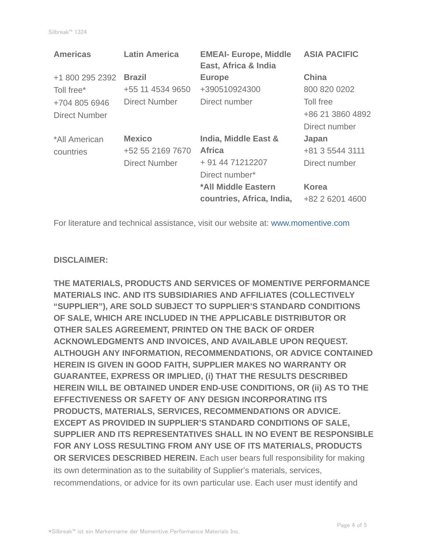| <b>Americas</b>      | <b>Latin America</b> | <b>EMEAI- Europe, Middle</b><br>East, Africa & India | <b>ASIA PACIFIC</b> |
|----------------------|----------------------|------------------------------------------------------|---------------------|
| +1 800 295 2392      | <b>Brazil</b>        | <b>Europe</b>                                        | <b>China</b>        |
| Toll free*           | +55 11 4534 9650     | +390510924300                                        | 800 820 0202        |
| +704 805 6946        | <b>Direct Number</b> | Direct number                                        | Toll free           |
| <b>Direct Number</b> |                      |                                                      | +86 21 3860 4892    |
|                      |                      |                                                      | Direct number       |
| *All American        | <b>Mexico</b>        | India, Middle East &                                 | Japan               |
| countries            | +52 55 2169 7670     | <b>Africa</b>                                        | +81 3 5544 3111     |
|                      | <b>Direct Number</b> | + 91 44 71212207                                     | Direct number       |
|                      |                      | Direct number*                                       |                     |
|                      |                      | *All Middle Eastern                                  | <b>Korea</b>        |
|                      |                      | countries, Africa, India,                            | +82 2 6201 4600     |

For literature and technical assistance, visit our website at: www.momentive.com

#### **DISCLAIMER:**

**THE MATERIALS, PRODUCTS AND SERVICES OF MOMENTIVE PERFORMANCE MATERIALS INC. AND ITS SUBSIDIARIES AND AFFILIATES (COLLECTIVELY "SUPPLIER"), ARE SOLD SUBJECT TO SUPPLIER'S STANDARD CONDITIONS OF SALE, WHICH ARE INCLUDED IN THE APPLICABLE DISTRIBUTOR OR OTHER SALES AGREEMENT, PRINTED ON THE BACK OF ORDER ACKNOWLEDGMENTS AND INVOICES, AND AVAILABLE UPON REQUEST. ALTHOUGH ANY INFORMATION, RECOMMENDATIONS, OR ADVICE CONTAINED HEREIN IS GIVEN IN GOOD FAITH, SUPPLIER MAKES NO WARRANTY OR GUARANTEE, EXPRESS OR IMPLIED, (i) THAT THE RESULTS DESCRIBED HEREIN WILL BE OBTAINED UNDER END-USE CONDITIONS, OR (ii) AS TO THE EFFECTIVENESS OR SAFETY OF ANY DESIGN INCORPORATING ITS PRODUCTS, MATERIALS, SERVICES, RECOMMENDATIONS OR ADVICE. EXCEPT AS PROVIDED IN SUPPLIER'S STANDARD CONDITIONS OF SALE, SUPPLIER AND ITS REPRESENTATIVES SHALL IN NO EVENT BE RESPONSIBLE FOR ANY LOSS RESULTING FROM ANY USE OF ITS MATERIALS, PRODUCTS OR SERVICES DESCRIBED HEREIN.** Each user bears full responsibility for making its own determination as to the suitability of Supplier's materials, services, recommendations, or advice for its own particular use. Each user must identify and